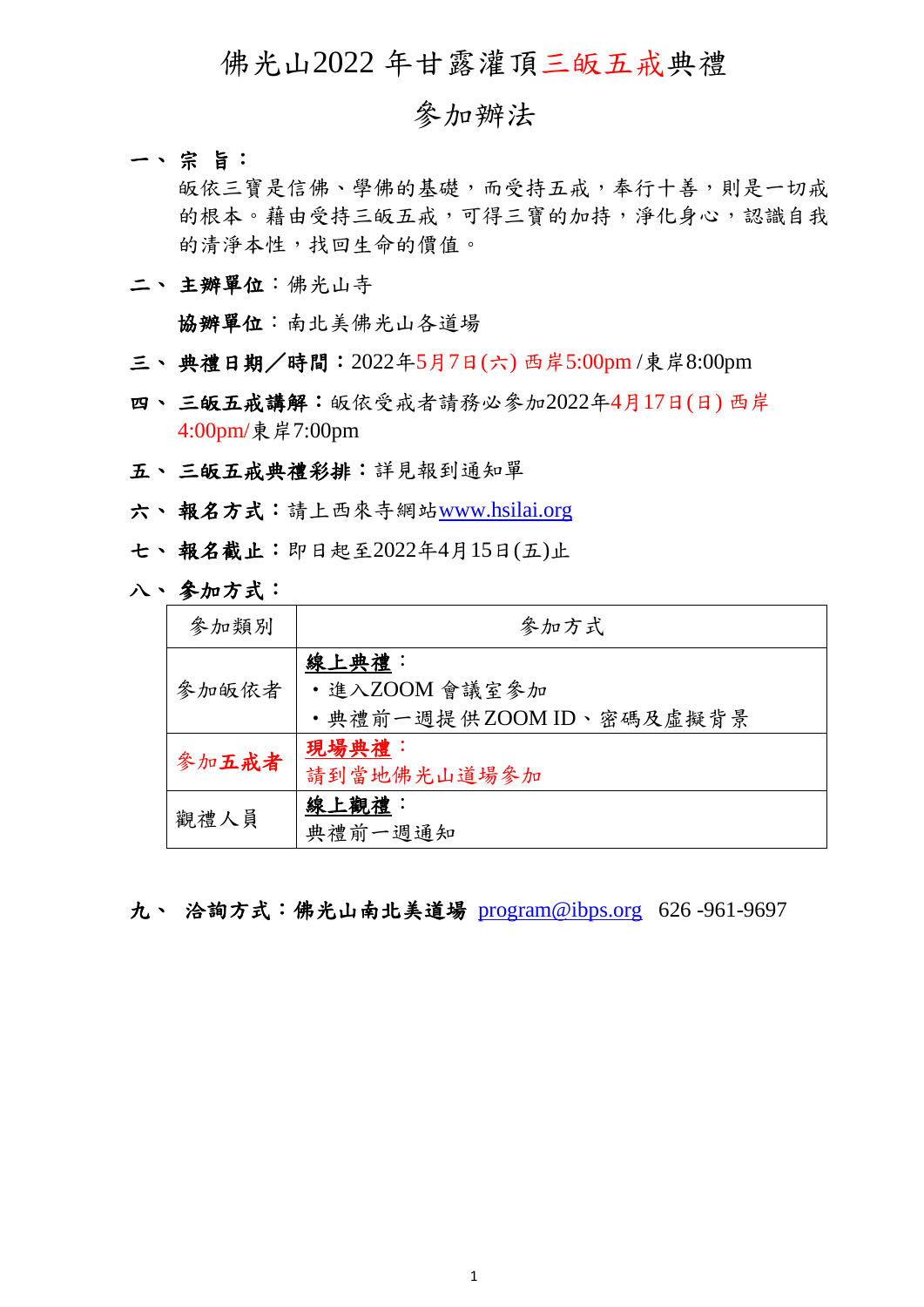## 佛光山2022 年甘露灌頂三皈五戒典禮

## 參加辦法

一、 宗旨:

皈依三寶是信佛、學佛的基礎,而受持五戒,奉行十善,則是一切戒 的根本。藉由受持三皈五戒,可得三寶的加持,淨化身心,認識自我 的清淨本性,找回生命的價值。

二、 主辦單位:佛光山寺

協辦單位:南北美佛光山各道場

- 三、 典禮日期/時間:2022年5月7日(六) 西岸5:00pm /東岸8:00pm
- 四、三皈五戒講解:皈依受戒者請務必參加2022年4月17日(日)西岸 4:00pm/東岸7:00pm
- 五、 三皈五戒典禮彩排:詳見報到通知單
- 六、 報名方式:請上西來寺網站[www.hsilai.org](http://www.hsilai.org/)
- 七、 報名截止:即日起至2022年4月15日(五)止
- 八、 參加方式:

| 參加類別  | 參加方式                   |
|-------|------------------------|
| 參加皈依者 | 線上典禮:<br>・進入ZOOM 會議室參加 |
|       | ·典禮前一週提供ZOOMID、密碼及虛擬背景 |
| 參加五戒者 | 現場典禮:                  |
|       | 請到當地佛光山道場參加            |
| 觀禮人員  | 線上觀禮:                  |
|       | 典禮前一週通知                |

九、 洽詢方式:佛光山南北美道場[program@ibps.org](mailto:program@ibps.org) 626 -961-9697